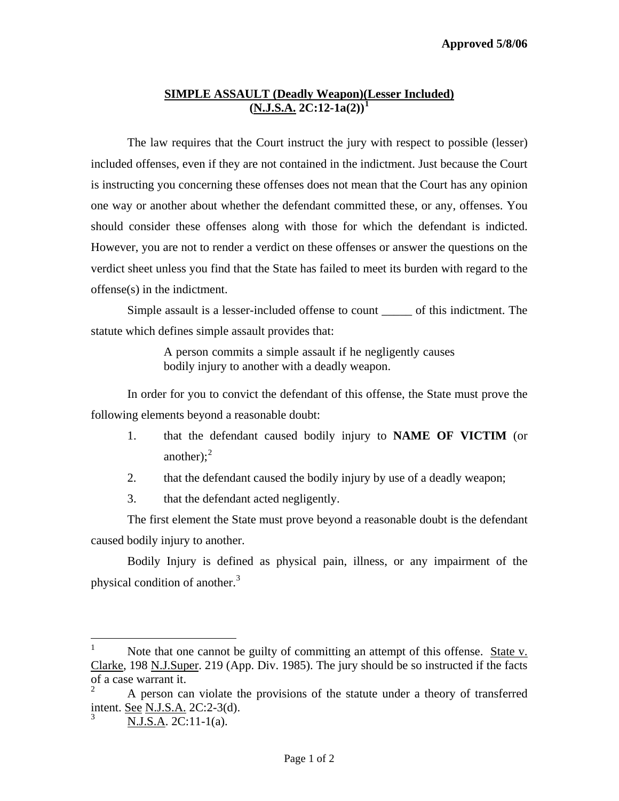## **SIMPLE ASSAULT (Deadly Weapon)(Lesser Included) (N.J.S.A. 2C:12-1a(2))[1](#page-0-0)**

 The law requires that the Court instruct the jury with respect to possible (lesser) included offenses, even if they are not contained in the indictment. Just because the Court is instructing you concerning these offenses does not mean that the Court has any opinion one way or another about whether the defendant committed these, or any, offenses. You should consider these offenses along with those for which the defendant is indicted. However, you are not to render a verdict on these offenses or answer the questions on the verdict sheet unless you find that the State has failed to meet its burden with regard to the offense(s) in the indictment.

Simple assault is a lesser-included offense to count \_\_\_\_\_ of this indictment. The statute which defines simple assault provides that:

> A person commits a simple assault if he negligently causes bodily injury to another with a deadly weapon.

 In order for you to convict the defendant of this offense, the State must prove the following elements beyond a reasonable doubt:

- 1. that the defendant caused bodily injury to **NAME OF VICTIM** (or another); $2<sup>2</sup>$  $2<sup>2</sup>$
- 2. that the defendant caused the bodily injury by use of a deadly weapon;
- 3. that the defendant acted negligently.

The first element the State must prove beyond a reasonable doubt is the defendant caused bodily injury to another.

<span id="page-0-3"></span>Bodily Injury is defined as physical pain, illness, or any impairment of the physical condition of another.[3](#page-0-2)

<span id="page-0-0"></span> $\frac{1}{1}$  Note that one cannot be guilty of committing an attempt of this offense. State v. Clarke, 198 N.J.Super. 219 (App. Div. 1985). The jury should be so instructed if the facts of a case warrant it.

<span id="page-0-2"></span><span id="page-0-1"></span><sup>2</sup> A person can violate the provisions of the statute under a theory of transferred intent. See N.J.S.A. 2C:2-3(d). 3

N.J.S.A. 2C:11-1(a).